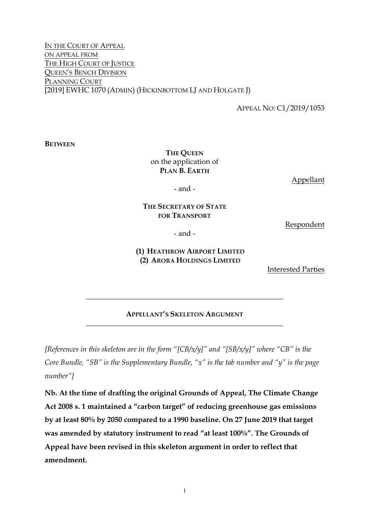IN THE COURT OF APPEAL ON APPEAL FROM THE HIGH COURT OF JUSTICE QUEEN'S BENCH DIVISION PLANNING COURT [2019] EWHC 1070 (ADMIN) (HICKINBOTTOM LJ AND HOLGATE J)

APPEAL NO: C1/2019/1053

**BETWEEN**

## **THE QUEEN** on the application of **PLAN B. EARTH**

Appellant

- and -

#### **THE SECRETARY OF STATE FOR TRANSPORT**

Respondent

- and -

#### **(1) HEATHROW AIRPORT LIMITED (2) ARORA HOLDINGS LIMITED**

Interested Parties

#### **APPELLANT'S SKELETON ARGUMENT \_\_\_\_\_\_\_\_\_\_\_\_\_\_\_\_\_\_\_\_\_\_\_\_\_\_\_\_\_\_\_\_\_\_\_\_\_\_\_\_\_\_\_\_\_\_\_\_\_\_\_\_\_**

**\_\_\_\_\_\_\_\_\_\_\_\_\_\_\_\_\_\_\_\_\_\_\_\_\_\_\_\_\_\_\_\_\_\_\_\_\_\_\_\_\_\_\_\_\_\_\_\_\_\_\_\_\_**

*[References in this skeleton are in the form "[CB/x/y]" and "[SB/x/y]" where "CB" is the Core Bundle, "SB" is the Supplementary Bundle, "x" is the tab number and "y" is the page number"]*

**Nb. At the time of drafting the original Grounds of Appeal, The Climate Change Act 2008 s. 1 maintained a "carbon target" of reducing greenhouse gas emissions by at least 80% by 2050 compared to a 1990 baseline. On 27 June 2019 that target was amended by statutory instrument to read "at least 100%". The Grounds of Appeal have been revised in this skeleton argument in order to reflect that amendment.**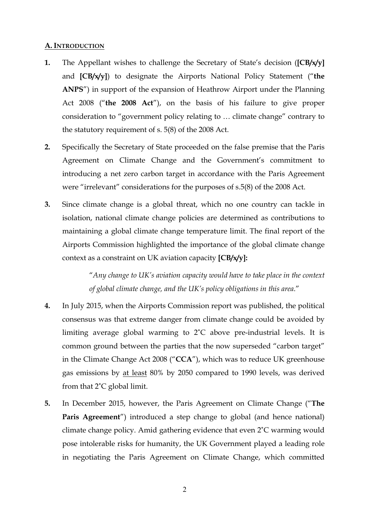#### **A. INTRODUCTION**

- **1.** The Appellant wishes to challenge the Secretary of State's decision (**[CB/x/y]** and **[CB/x/y]**) to designate the Airports National Policy Statement ("**the ANPS**") in support of the expansion of Heathrow Airport under the Planning Act 2008 ("**the 2008 Act**"), on the basis of his failure to give proper consideration to "government policy relating to … climate change" contrary to the statutory requirement of s. 5(8) of the 2008 Act.
- **2.** Specifically the Secretary of State proceeded on the false premise that the Paris Agreement on Climate Change and the Government's commitment to introducing a net zero carbon target in accordance with the Paris Agreement were "irrelevant" considerations for the purposes of s.5(8) of the 2008 Act.
- **3.** Since climate change is a global threat, which no one country can tackle in isolation, national climate change policies are determined as contributions to maintaining a global climate change temperature limit. The final report of the Airports Commission highlighted the importance of the global climate change context as a constraint on UK aviation capacity **[CB/x/y]:**

"*Any change to UK's aviation capacity would have to take place in the context of global climate change, and the UK's policy obligations in this area*."

- **4.** In July 2015, when the Airports Commission report was published, the political consensus was that extreme danger from climate change could be avoided by limiting average global warming to 2˚C above pre-industrial levels. It is common ground between the parties that the now superseded "carbon target" in the Climate Change Act 2008 ("**CCA**"), which was to reduce UK greenhouse gas emissions by at least 80% by 2050 compared to 1990 levels, was derived from that 2˚C global limit.
- **5.** In December 2015, however, the Paris Agreement on Climate Change ("**The**  Paris Agreement<sup>"</sup>) introduced a step change to global (and hence national) climate change policy. Amid gathering evidence that even 2˚C warming would pose intolerable risks for humanity, the UK Government played a leading role in negotiating the Paris Agreement on Climate Change, which committed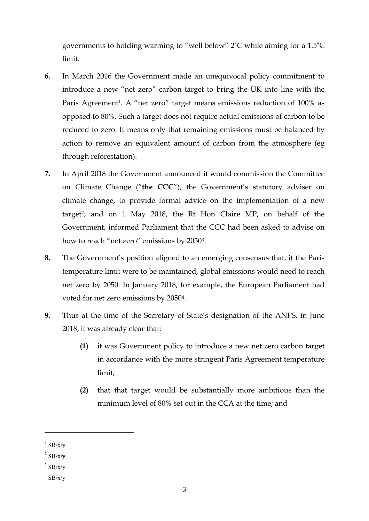governments to holding warming to "well below" 2˚C while aiming for a 1.5˚C limit.

- **6.** In March 2016 the Government made an unequivocal policy commitment to introduce a new "net zero" carbon target to bring the UK into line with the Paris Agreement<sup>1</sup>. A "net zero" target means emissions reduction of 100% as opposed to 80%. Such a target does not require actual emissions of carbon to be reduced to zero. It means only that remaining emissions must be balanced by action to remove an equivalent amount of carbon from the atmosphere (eg through reforestation).
- **7.** In April 2018 the Government announced it would commission the Committee on Climate Change ("**the CCC**"), the Government's statutory adviser on climate change, to provide formal advice on the implementation of a new target2; and on 1 May 2018, the Rt Hon Claire MP, on behalf of the Government, informed Parliament that the CCC had been asked to advise on how to reach "net zero" emissions by 20503.
- **8.** The Government's position aligned to an emerging consensus that, if the Paris temperature limit were to be maintained, global emissions would need to reach net zero by 2050. In January 2018, for example, the European Parliament had voted for net zero emissions by 20504.
- **9.** Thus at the time of the Secretary of State's designation of the ANPS, in June 2018, it was already clear that:
	- **(1)** it was Government policy to introduce a new net zero carbon target in accordance with the more stringent Paris Agreement temperature limit;
	- **(2)** that that target would be substantially more ambitious than the minimum level of 80% set out in the CCA at the time; and

 $\overline{a}$ 

 $1$  SB/x/v

 $2$  SB/x/v

 $3$  SB/x/y

 $4$  SB/x/y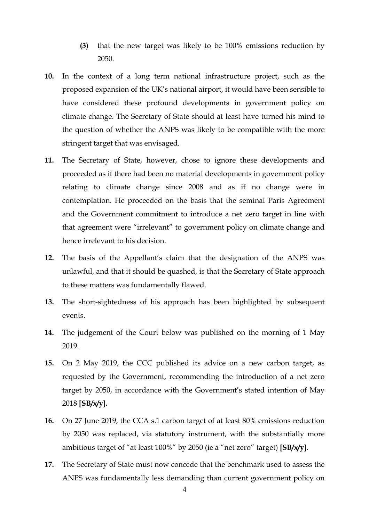- **(3)** that the new target was likely to be 100% emissions reduction by 2050.
- **10.** In the context of a long term national infrastructure project, such as the proposed expansion of the UK's national airport, it would have been sensible to have considered these profound developments in government policy on climate change. The Secretary of State should at least have turned his mind to the question of whether the ANPS was likely to be compatible with the more stringent target that was envisaged.
- **11.** The Secretary of State, however, chose to ignore these developments and proceeded as if there had been no material developments in government policy relating to climate change since 2008 and as if no change were in contemplation. He proceeded on the basis that the seminal Paris Agreement and the Government commitment to introduce a net zero target in line with that agreement were "irrelevant" to government policy on climate change and hence irrelevant to his decision.
- **12.** The basis of the Appellant's claim that the designation of the ANPS was unlawful, and that it should be quashed, is that the Secretary of State approach to these matters was fundamentally flawed.
- **13.** The short-sightedness of his approach has been highlighted by subsequent events.
- **14.** The judgement of the Court below was published on the morning of 1 May 2019.
- **15.** On 2 May 2019, the CCC published its advice on a new carbon target, as requested by the Government, recommending the introduction of a net zero target by 2050, in accordance with the Government's stated intention of May 2018 **[SB/x/y].**
- **16.** On 27 June 2019, the CCA s.1 carbon target of at least 80% emissions reduction by 2050 was replaced, via statutory instrument, with the substantially more ambitious target of "at least 100%" by 2050 (ie a "net zero" target) **[SB/x/y]**.
- **17.** The Secretary of State must now concede that the benchmark used to assess the ANPS was fundamentally less demanding than current government policy on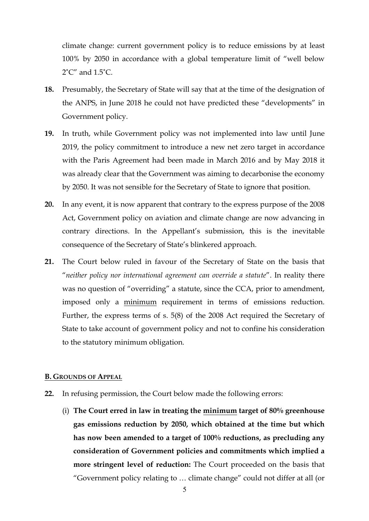climate change: current government policy is to reduce emissions by at least 100% by 2050 in accordance with a global temperature limit of "well below  $2^{\circ}C''$  and  $1.5^{\circ}C$ .

- **18.** Presumably, the Secretary of State will say that at the time of the designation of the ANPS, in June 2018 he could not have predicted these "developments" in Government policy.
- **19.** In truth, while Government policy was not implemented into law until June 2019, the policy commitment to introduce a new net zero target in accordance with the Paris Agreement had been made in March 2016 and by May 2018 it was already clear that the Government was aiming to decarbonise the economy by 2050. It was not sensible for the Secretary of State to ignore that position.
- **20.** In any event, it is now apparent that contrary to the express purpose of the 2008 Act, Government policy on aviation and climate change are now advancing in contrary directions. In the Appellant's submission, this is the inevitable consequence of the Secretary of State's blinkered approach.
- **21.** The Court below ruled in favour of the Secretary of State on the basis that "*neither policy nor international agreement can override a statute*". In reality there was no question of "overriding" a statute, since the CCA, prior to amendment, imposed only a minimum requirement in terms of emissions reduction. Further, the express terms of s. 5(8) of the 2008 Act required the Secretary of State to take account of government policy and not to confine his consideration to the statutory minimum obligation.

#### **B. GROUNDS OF APPEAL**

- **22.** In refusing permission, the Court below made the following errors:
	- (i) **The Court erred in law in treating the minimum target of 80% greenhouse gas emissions reduction by 2050, which obtained at the time but which has now been amended to a target of 100% reductions, as precluding any consideration of Government policies and commitments which implied a more stringent level of reduction:** The Court proceeded on the basis that "Government policy relating to … climate change" could not differ at all (or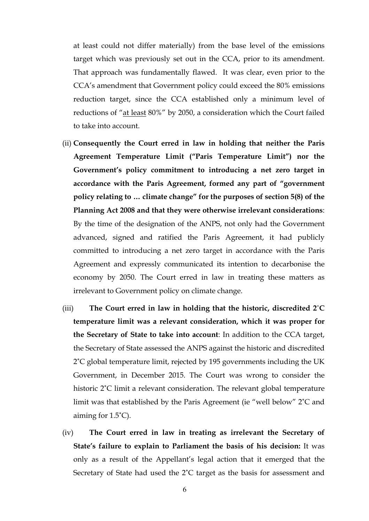at least could not differ materially) from the base level of the emissions target which was previously set out in the CCA, prior to its amendment. That approach was fundamentally flawed. It was clear, even prior to the CCA's amendment that Government policy could exceed the 80% emissions reduction target, since the CCA established only a minimum level of reductions of "at least 80%" by 2050, a consideration which the Court failed to take into account.

- (ii) **Consequently the Court erred in law in holding that neither the Paris Agreement Temperature Limit ("Paris Temperature Limit") nor the Government's policy commitment to introducing a net zero target in accordance with the Paris Agreement, formed any part of "government policy relating to … climate change" for the purposes of section 5(8) of the Planning Act 2008 and that they were otherwise irrelevant considerations**: By the time of the designation of the ANPS, not only had the Government advanced, signed and ratified the Paris Agreement, it had publicly committed to introducing a net zero target in accordance with the Paris Agreement and expressly communicated its intention to decarbonise the economy by 2050. The Court erred in law in treating these matters as irrelevant to Government policy on climate change.
- (iii) **The Court erred in law in holding that the historic, discredited 2˚C temperature limit was a relevant consideration, which it was proper for the Secretary of State to take into account**: In addition to the CCA target, the Secretary of State assessed the ANPS against the historic and discredited 2˚C global temperature limit, rejected by 195 governments including the UK Government, in December 2015. The Court was wrong to consider the historic 2°C limit a relevant consideration. The relevant global temperature limit was that established by the Paris Agreement (ie "well below" 2˚C and aiming for 1.5˚C).
- (iv) **The Court erred in law in treating as irrelevant the Secretary of State's failure to explain to Parliament the basis of his decision:** It was only as a result of the Appellant's legal action that it emerged that the Secretary of State had used the 2˚C target as the basis for assessment and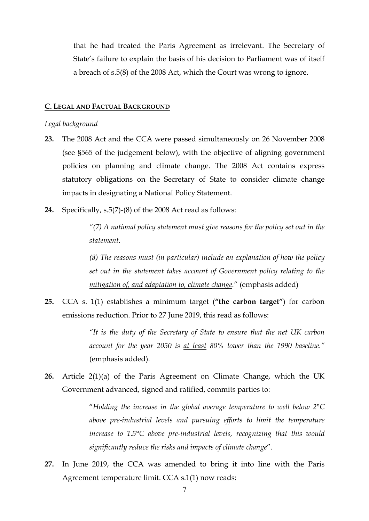that he had treated the Paris Agreement as irrelevant. The Secretary of State's failure to explain the basis of his decision to Parliament was of itself a breach of s.5(8) of the 2008 Act, which the Court was wrong to ignore.

#### **C. LEGAL AND FACTUAL BACKGROUND**

#### *Legal background*

- **23.** The 2008 Act and the CCA were passed simultaneously on 26 November 2008 (see §565 of the judgement below), with the objective of aligning government policies on planning and climate change. The 2008 Act contains express statutory obligations on the Secretary of State to consider climate change impacts in designating a National Policy Statement.
- **24.** Specifically, s.5(7)-(8) of the 2008 Act read as follows:

*"(7) A national policy statement must give reasons for the policy set out in the statement.*

*(8) The reasons must (in particular) include an explanation of how the policy set out in the statement takes account of Government policy relating to the mitigation of, and adaptation to, climate change.*" (emphasis added)

**25.** CCA s. 1(1) establishes a minimum target (**"the carbon target"**) for carbon emissions reduction. Prior to 27 June 2019, this read as follows:

> *"It is the duty of the Secretary of State to ensure that the net UK carbon account for the year 2050 is at least 80% lower than the 1990 baseline."*  (emphasis added).

**26.** Article 2(1)(a) of the Paris Agreement on Climate Change, which the UK Government advanced, signed and ratified, commits parties to:

> "*Holding the increase in the global average temperature to well below 2°C above pre-industrial levels and pursuing efforts to limit the temperature increase to 1.5°C above pre-industrial levels, recognizing that this would significantly reduce the risks and impacts of climate change*".

**27.** In June 2019, the CCA was amended to bring it into line with the Paris Agreement temperature limit. CCA s.1(1) now reads: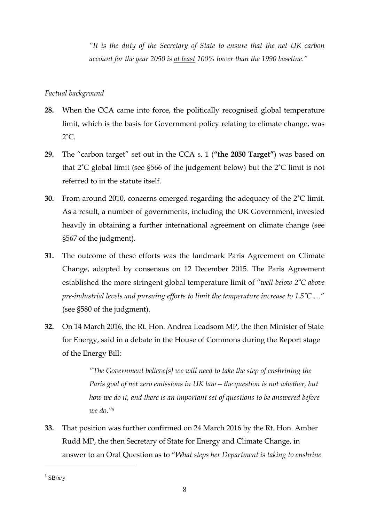*"It is the duty of the Secretary of State to ensure that the net UK carbon account for the year 2050 is at least 100% lower than the 1990 baseline."*

### *Factual background*

- **28.** When the CCA came into force, the politically recognised global temperature limit, which is the basis for Government policy relating to climate change, was  $2^{\circ}$ C.
- **29.** The "carbon target" set out in the CCA s. 1 (**"the 2050 Target"**) was based on that 2˚C global limit (see §566 of the judgement below) but the 2˚C limit is not referred to in the statute itself.
- **30.** From around 2010, concerns emerged regarding the adequacy of the 2˚C limit. As a result, a number of governments, including the UK Government, invested heavily in obtaining a further international agreement on climate change (see §567 of the judgment).
- **31.** The outcome of these efforts was the landmark Paris Agreement on Climate Change, adopted by consensus on 12 December 2015. The Paris Agreement established the more stringent global temperature limit of "*well below 2˚C above pre-industrial levels and pursuing efforts to limit the temperature increase to 1.5˚C …*" (see §580 of the judgment).
- **32.** On 14 March 2016, the Rt. Hon. Andrea Leadsom MP, the then Minister of State for Energy, said in a debate in the House of Commons during the Report stage of the Energy Bill:

*"The Government believe[s] we will need to take the step of enshrining the Paris goal of net zero emissions in UK law—the question is not whether, but how we do it, and there is an important set of questions to be answered before we do."5*

**33.** That position was further confirmed on 24 March 2016 by the Rt. Hon. Amber Rudd MP, the then Secretary of State for Energy and Climate Change, in answer to an Oral Question as to "*What steps her Department is taking to enshrine* 

 $5$  SB/x/y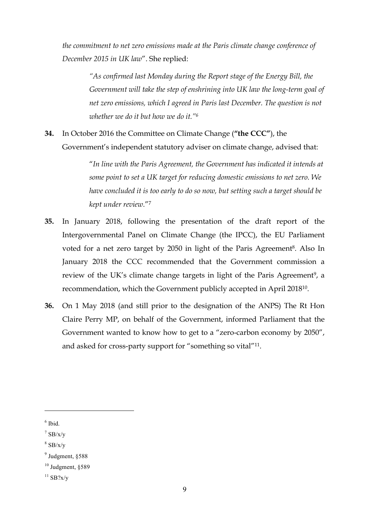*the commitment to net zero emissions made at the Paris climate change conference of December 2015 in UK law*". She replied:

> *"As confirmed last Monday during the Report stage of the Energy Bill, the Government will take the step of enshrining into UK law the long-term goal of net zero emissions, which I agreed in Paris last December. The question is not whether we do it but how we do it."6*

**34.** In October 2016 the Committee on Climate Change (**"the CCC"**), the Government's independent statutory adviser on climate change, advised that:

> "*In line with the Paris Agreement, the Government has indicated it intends at some point to set a UK target for reducing domestic emissions to net zero. We have concluded it is too early to do so now, but setting such a target should be kept under review*."7

- **35.** In January 2018, following the presentation of the draft report of the Intergovernmental Panel on Climate Change (the IPCC), the EU Parliament voted for a net zero target by 2050 in light of the Paris Agreement<sup>8</sup>. Also In January 2018 the CCC recommended that the Government commission a review of the UK's climate change targets in light of the Paris Agreement<sup>9</sup>, a recommendation, which the Government publicly accepted in April 201810.
- **36.** On 1 May 2018 (and still prior to the designation of the ANPS) The Rt Hon Claire Perry MP, on behalf of the Government, informed Parliament that the Government wanted to know how to get to a "zero-carbon economy by 2050", and asked for cross-party support for "something so vital"11.

 $6$  Ibid.

 $\frac{7}{1}$  SB/x/y

 $8$  SB/x/y

<sup>9</sup> Judgment, §588

 $10$  Judgment,  $$589$ 

 $11$  SB?x/y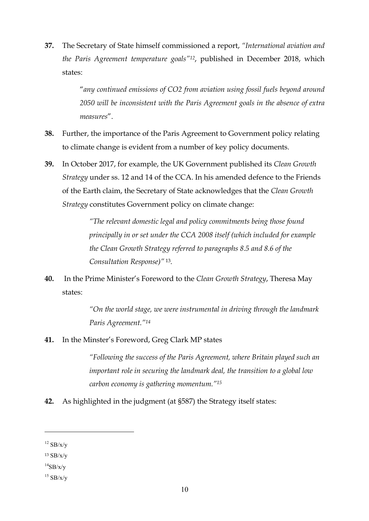**37.** The Secretary of State himself commissioned a report, *"International aviation and the Paris Agreement temperature goals"12*, published in December 2018, which states:

> "*any continued emissions of CO2 from aviation using fossil fuels beyond around 2050 will be inconsistent with the Paris Agreement goals in the absence of extra measures*".

- **38.** Further, the importance of the Paris Agreement to Government policy relating to climate change is evident from a number of key policy documents.
- **39.** In October 2017, for example, the UK Government published its *Clean Growth Strategy* under ss. 12 and 14 of the CCA. In his amended defence to the Friends of the Earth claim, the Secretary of State acknowledges that the *Clean Growth Strategy* constitutes Government policy on climate change:

*"The relevant domestic legal and policy commitments being those found principally in or set under the CCA 2008 itself (which included for example the Clean Growth Strategy referred to paragraphs 8.5 and 8.6 of the Consultation Response)"* <sup>13</sup>*.*

**40.** In the Prime Minister's Foreword to the *Clean Growth Strategy*, Theresa May states:

> *"On the world stage, we were instrumental in driving through the landmark Paris Agreement."14*

**41.** In the Minster's Foreword, Greg Clark MP states

*"Following the success of the Paris Agreement, where Britain played such an important role in securing the landmark deal, the transition to a global low carbon economy is gathering momentum."15*

**42.** As highlighted in the judgment (at §587) the Strategy itself states:

 $\overline{a}$ 

 $12$  SB/x/v

<sup>13</sup> SB/x/y

 $^{14}SB/x/y$ 

 $15$  SB/x/y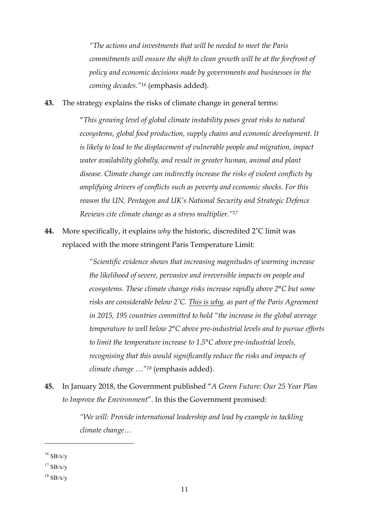*"The actions and investments that will be needed to meet the Paris commitments will ensure the shift to clean growth will be at the forefront of policy and economic decisions made by governments and businesses in the coming decades."16* (emphasis added).

**43.** The strategy explains the risks of climate change in general terms:

"*This growing level of global climate instability poses great risks to natural ecosystems, global food production, supply chains and economic development. It is likely to lead to the displacement of vulnerable people and migration, impact water availability globally, and result in greater human, animal and plant disease. Climate change can indirectly increase the risks of violent conflicts by amplifying drivers of conflicts such as poverty and economic shocks. For this reason the UN, Pentagon and UK's National Security and Strategic Defence Reviews cite climate change as a stress multiplier."17*

**44.** More specifically, it explains *why* the historic, discredited 2˚C limit was replaced with the more stringent Paris Temperature Limit:

> *"Scientific evidence shows that increasing magnitudes of warming increase the likelihood of severe, pervasive and irreversible impacts on people and ecosystems. These climate change risks increase rapidly above 2°C but some risks are considerable below 2˚C. This is why, as part of the Paris Agreement in 2015, 195 countries committed to hold "the increase in the global average temperature to well below 2°C above pre-industrial levels and to pursue efforts to limit the temperature increase to 1.5°C above pre-industrial levels, recognising that this would significantly reduce the risks and impacts of climate change …"18* (emphasis added).

**45.** In January 2018, the Government published "*A Green Future: Our 25 Year Plan to Improve the Environment*". In this the Government promised:

> *"We will: Provide international leadership and lead by example in tackling climate change…*

 $16$  SB/x/v

 $17$  SB/x/y

 $18$  SB/x/y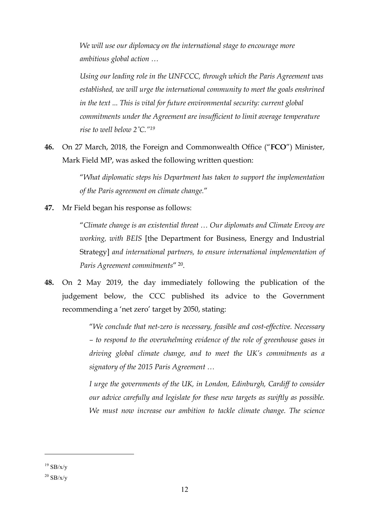*We will use our diplomacy on the international stage to encourage more ambitious global action …*

*Using our leading role in the UNFCCC, through which the Paris Agreement was established, we will urge the international community to meet the goals enshrined in the text ... This is vital for future environmental security: current global commitments under the Agreement are insufficient to limit average temperature rise to well below 2˚C."19*

**46.** On 27 March, 2018, the Foreign and Commonwealth Office ("**FCO**") Minister, Mark Field MP, was asked the following written question:

> "*What diplomatic steps his Department has taken to support the implementation of the Paris agreement on climate change.*"

**47.** Mr Field began his response as follows:

"*Climate change is an existential threat … Our diplomats and Climate Envoy are working, with BEIS* [the Department for Business, Energy and Industrial Strategy] *and international partners, to ensure international implementation of Paris Agreement commitments*" 20.

**48.** On 2 May 2019, the day immediately following the publication of the judgement below, the CCC published its advice to the Government recommending a 'net zero' target by 2050, stating:

> "*We conclude that net-zero is necessary, feasible and cost-effective. Necessary – to respond to the overwhelming evidence of the role of greenhouse gases in driving global climate change, and to meet the UK's commitments as a signatory of the 2015 Paris Agreement …*

> *I urge the governments of the UK, in London, Edinburgh, Cardiff to consider our advice carefully and legislate for these new targets as swiftly as possible. We must now increase our ambition to tackle climate change. The science*

 $19$  SB/x/v

 $^{20}$  SB/x/y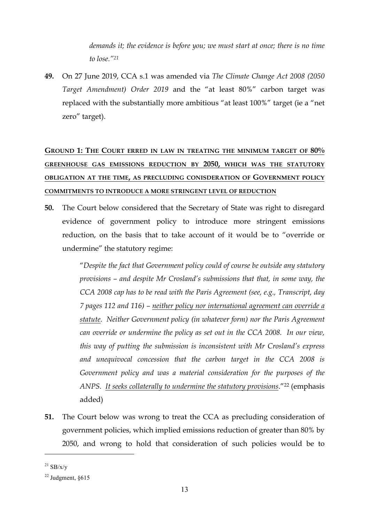*demands it; the evidence is before you; we must start at once; there is no time to lose."21*

**49.** On 27 June 2019, CCA s.1 was amended via *The Climate Change Act 2008 (2050 Target Amendment) Order 2019* and the "at least 80%" carbon target was replaced with the substantially more ambitious "at least 100%" target (ie a "net zero" target).

# **GROUND 1: THE COURT ERRED IN LAW IN TREATING THE MINIMUM TARGET OF 80% GREENHOUSE GAS EMISSIONS REDUCTION BY 2050, WHICH WAS THE STATUTORY OBLIGATION AT THE TIME, AS PRECLUDING CONISDERATION OF GOVERNMENT POLICY COMMITMENTS TO INTRODUCE A MORE STRINGENT LEVEL OF REDUCTION**

**50.** The Court below considered that the Secretary of State was right to disregard evidence of government policy to introduce more stringent emissions reduction, on the basis that to take account of it would be to "override or undermine" the statutory regime:

> "*Despite the fact that Government policy could of course be outside any statutory provisions – and despite Mr Crosland's submissions that that, in some way, the CCA 2008 cap has to be read with the Paris Agreement (see, e.g., Transcript, day 7 pages 112 and 116) – neither policy nor international agreement can override a statute. Neither Government policy (in whatever form) nor the Paris Agreement can override or undermine the policy as set out in the CCA 2008. In our view, this way of putting the submission is inconsistent with Mr Crosland's express and unequivocal concession that the carbon target in the CCA 2008 is Government policy and was a material consideration for the purposes of the ANPS. It seeks collaterally to undermine the statutory provisions*."22 (emphasis added)

**51.** The Court below was wrong to treat the CCA as precluding consideration of government policies, which implied emissions reduction of greater than 80% by 2050, and wrong to hold that consideration of such policies would be to

 $^{21}$  SB/x/y

 $22$  Judgment,  $§615$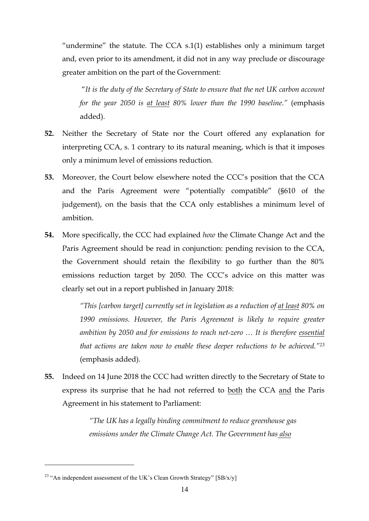"undermine" the statute. The CCA  $s.1(1)$  establishes only a minimum target and, even prior to its amendment, it did not in any way preclude or discourage greater ambition on the part of the Government:

"*It is the duty of the Secretary of State to ensure that the net UK carbon account for the year 2050 is at least 80% lower than the 1990 baseline."* (emphasis added).

- **52.** Neither the Secretary of State nor the Court offered any explanation for interpreting CCA, s. 1 contrary to its natural meaning, which is that it imposes only a minimum level of emissions reduction.
- **53.** Moreover, the Court below elsewhere noted the CCC's position that the CCA and the Paris Agreement were "potentially compatible" (§610 of the judgement), on the basis that the CCA only establishes a minimum level of ambition.
- **54.** More specifically, the CCC had explained *how* the Climate Change Act and the Paris Agreement should be read in conjunction: pending revision to the CCA, the Government should retain the flexibility to go further than the 80% emissions reduction target by 2050. The CCC's advice on this matter was clearly set out in a report published in January 2018:

*"This [carbon target] currently set in legislation as a reduction of at least 80% on*  1990 emissions. However, the Paris Agreement is likely to require greater *ambition by 2050 and for emissions to reach net-zero … It is therefore essential that actions are taken now to enable these deeper reductions to be achieved."23* (emphasis added).

**55.** Indeed on 14 June 2018 the CCC had written directly to the Secretary of State to express its surprise that he had not referred to both the CCA and the Paris Agreement in his statement to Parliament:

> *"The UK has a legally binding commitment to reduce greenhouse gas emissions under the Climate Change Act. The Government has also*

<sup>&</sup>lt;sup>23</sup> "An independent assessment of the UK's Clean Growth Strategy"  $[SB/x/y]$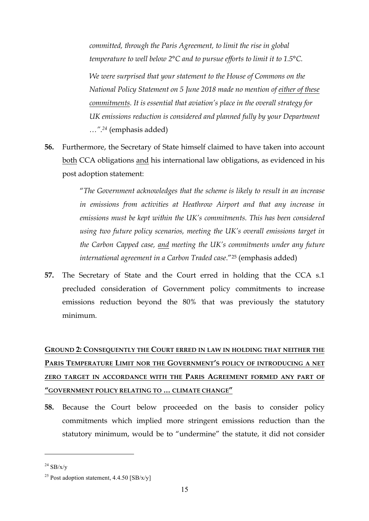*committed, through the Paris Agreement, to limit the rise in global temperature to well below 2°C and to pursue efforts to limit it to 1.5°C.*

*We were surprised that your statement to the House of Commons on the National Policy Statement on 5 June 2018 made no mention of either of these commitments. It is essential that aviation's place in the overall strategy for UK emissions reduction is considered and planned fully by your Department …".24* (emphasis added)

**56.** Furthermore, the Secretary of State himself claimed to have taken into account both CCA obligations and his international law obligations, as evidenced in his post adoption statement:

> "*The Government acknowledges that the scheme is likely to result in an increase in emissions from activities at Heathrow Airport and that any increase in emissions must be kept within the UK's commitments. This has been considered using two future policy scenarios, meeting the UK's overall emissions target in the Carbon Capped case, and meeting the UK's commitments under any future international agreement in a Carbon Traded case*."25 (emphasis added)

**57.** The Secretary of State and the Court erred in holding that the CCA s.1 precluded consideration of Government policy commitments to increase emissions reduction beyond the 80% that was previously the statutory minimum.

# **GROUND 2: CONSEQUENTLY THE COURT ERRED IN LAW IN HOLDING THAT NEITHER THE** PARIS TEMPERATURE LIMIT NOR THE GOVERNMENT'S POLICY OF INTRODUCING A NET **ZERO TARGET IN ACCORDANCE WITH THE PARIS AGREEMENT FORMED ANY PART OF "GOVERNMENT POLICY RELATING TO … CLIMATE CHANGE"**

**58.** Because the Court below proceeded on the basis to consider policy commitments which implied more stringent emissions reduction than the statutory minimum, would be to "undermine" the statute, it did not consider

 $^{24}$  SB/x/y

<sup>&</sup>lt;sup>25</sup> Post adoption statement,  $4.4.50$  [SB/x/y]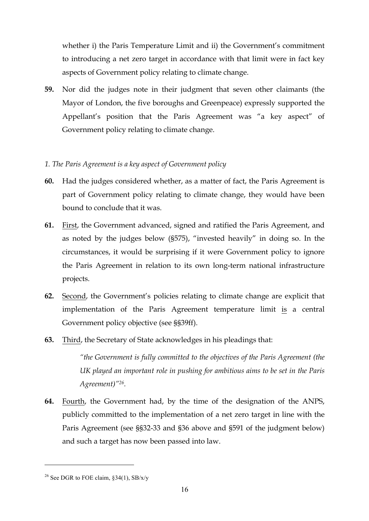whether i) the Paris Temperature Limit and ii) the Government's commitment to introducing a net zero target in accordance with that limit were in fact key aspects of Government policy relating to climate change.

**59.** Nor did the judges note in their judgment that seven other claimants (the Mayor of London, the five boroughs and Greenpeace) expressly supported the Appellant's position that the Paris Agreement was "a key aspect" of Government policy relating to climate change.

## *1. The Paris Agreement is a key aspect of Government policy*

- **60.** Had the judges considered whether, as a matter of fact, the Paris Agreement is part of Government policy relating to climate change, they would have been bound to conclude that it was.
- **61.** First, the Government advanced, signed and ratified the Paris Agreement, and as noted by the judges below (§575), "invested heavily" in doing so. In the circumstances, it would be surprising if it were Government policy to ignore the Paris Agreement in relation to its own long-term national infrastructure projects.
- **62.** Second, the Government's policies relating to climate change are explicit that implementation of the Paris Agreement temperature limit is a central Government policy objective (see §§39ff).
- **63.** Third, the Secretary of State acknowledges in his pleadings that:

*"the Government is fully committed to the objectives of the Paris Agreement (the UK played an important role in pushing for ambitious aims to be set in the Paris Agreement)"26.* 

**64.** Fourth, the Government had, by the time of the designation of the ANPS, publicly committed to the implementation of a net zero target in line with the Paris Agreement (see §§32-33 and §36 above and §591 of the judgment below) and such a target has now been passed into law.

<sup>&</sup>lt;sup>26</sup> See DGR to FOE claim,  $\S 34(1)$ , SB/x/y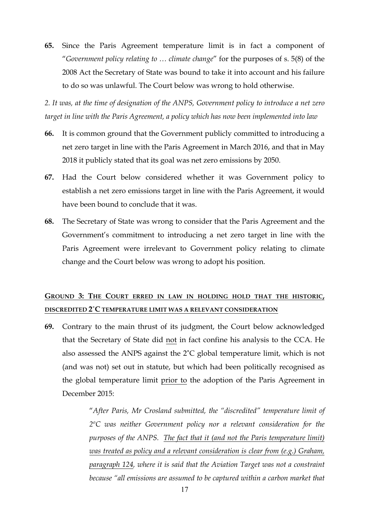**65.** Since the Paris Agreement temperature limit is in fact a component of "*Government policy relating to … climate change*" for the purposes of s. 5(8) of the 2008 Act the Secretary of State was bound to take it into account and his failure to do so was unlawful. The Court below was wrong to hold otherwise.

*2. It was, at the time of designation of the ANPS, Government policy to introduce a net zero target in line with the Paris Agreement, a policy which has now been implemented into law*

- **66.** It is common ground that the Government publicly committed to introducing a net zero target in line with the Paris Agreement in March 2016, and that in May 2018 it publicly stated that its goal was net zero emissions by 2050.
- **67.** Had the Court below considered whether it was Government policy to establish a net zero emissions target in line with the Paris Agreement, it would have been bound to conclude that it was.
- **68.** The Secretary of State was wrong to consider that the Paris Agreement and the Government's commitment to introducing a net zero target in line with the Paris Agreement were irrelevant to Government policy relating to climate change and the Court below was wrong to adopt his position.

## **GROUND 3: THE COURT ERRED IN LAW IN HOLDING HOLD THAT THE HISTORIC, DISCREDITED 2˚C TEMPERATURE LIMIT WAS A RELEVANT CONSIDERATION**

**69.** Contrary to the main thrust of its judgment, the Court below acknowledged that the Secretary of State did not in fact confine his analysis to the CCA. He also assessed the ANPS against the 2˚C global temperature limit, which is not (and was not) set out in statute, but which had been politically recognised as the global temperature limit prior to the adoption of the Paris Agreement in December 2015:

> "*After Paris, Mr Crosland submitted, the "discredited" temperature limit of 2ºC was neither Government policy nor a relevant consideration for the purposes of the ANPS. The fact that it (and not the Paris temperature limit) was treated as policy and a relevant consideration is clear from (e.g.) Graham, paragraph 124, where it is said that the Aviation Target was not a constraint because "all emissions are assumed to be captured within a carbon market that*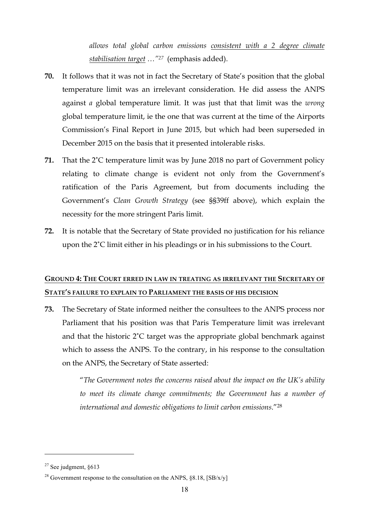*allows total global carbon emissions consistent with a 2 degree climate stabilisation target …"27* (emphasis added).

- **70.** It follows that it was not in fact the Secretary of State's position that the global temperature limit was an irrelevant consideration. He did assess the ANPS against *a* global temperature limit. It was just that that limit was the *wrong* global temperature limit, ie the one that was current at the time of the Airports Commission's Final Report in June 2015, but which had been superseded in December 2015 on the basis that it presented intolerable risks.
- **71.** That the 2˚C temperature limit was by June 2018 no part of Government policy relating to climate change is evident not only from the Government's ratification of the Paris Agreement, but from documents including the Government's *Clean Growth Strategy* (see §§39ff above), which explain the necessity for the more stringent Paris limit.
- **72.** It is notable that the Secretary of State provided no justification for his reliance upon the 2˚C limit either in his pleadings or in his submissions to the Court.

## **GROUND 4: THE COURT ERRED IN LAW IN TREATING AS IRRELEVANT THE SECRETARY OF STATE'S FAILURE TO EXPLAIN TO PARLIAMENT THE BASIS OF HIS DECISION**

**73.** The Secretary of State informed neither the consultees to the ANPS process nor Parliament that his position was that Paris Temperature limit was irrelevant and that the historic 2˚C target was the appropriate global benchmark against which to assess the ANPS. To the contrary, in his response to the consultation on the ANPS, the Secretary of State asserted:

> "*The Government notes the concerns raised about the impact on the UK's ability to meet its climate change commitments; the Government has a number of international and domestic obligations to limit carbon emissions*."28

 $27$  See judgment,  $§613$ 

<sup>&</sup>lt;sup>28</sup> Government response to the consultation on the ANPS,  $\S 8.18$ , [SB/x/y]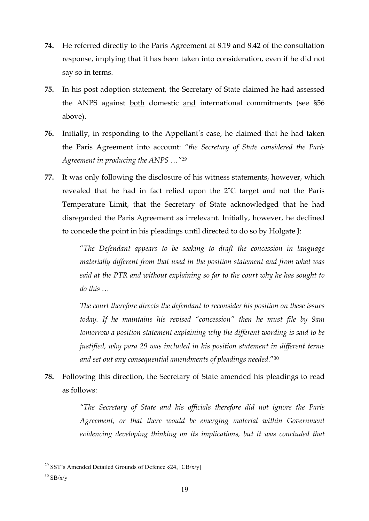- **74.** He referred directly to the Paris Agreement at 8.19 and 8.42 of the consultation response, implying that it has been taken into consideration, even if he did not say so in terms.
- **75.** In his post adoption statement, the Secretary of State claimed he had assessed the ANPS against both domestic and international commitments (see §56 above).
- **76.** Initially, in responding to the Appellant's case, he claimed that he had taken the Paris Agreement into account: *"the Secretary of State considered the Paris Agreement in producing the ANPS …"29*
- **77.** It was only following the disclosure of his witness statements, however, which revealed that he had in fact relied upon the 2˚C target and not the Paris Temperature Limit, that the Secretary of State acknowledged that he had disregarded the Paris Agreement as irrelevant. Initially, however, he declined to concede the point in his pleadings until directed to do so by Holgate J:

"*The Defendant appears to be seeking to draft the concession in language materially different from that used in the position statement and from what was said at the PTR and without explaining so far to the court why he has sought to do this …*

*The court therefore directs the defendant to reconsider his position on these issues today. If he maintains his revised "concession" then he must file by 9am tomorrow a position statement explaining why the different wording is said to be justified, why para 29 was included in his position statement in different terms and set out any consequential amendments of pleadings needed*."30

**78.** Following this direction, the Secretary of State amended his pleadings to read as follows:

> *"The Secretary of State and his officials therefore did not ignore the Paris Agreement, or that there would be emerging material within Government evidencing developing thinking on its implications, but it was concluded that*

<sup>&</sup>lt;sup>29</sup> SST's Amended Detailed Grounds of Defence  $\S 24$ , [CB/x/y]

 $30$  SB/x/y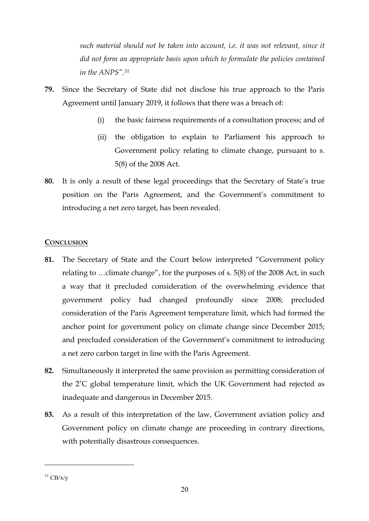*such material should not be taken into account, i.e. it was not relevant, since it did not form an appropriate basis upon which to formulate the policies contained in the ANPS". 31*

- **79.** Since the Secretary of State did not disclose his true approach to the Paris Agreement until January 2019, it follows that there was a breach of:
	- (i) the basic fairness requirements of a consultation process; and of
	- (ii) the obligation to explain to Parliament his approach to Government policy relating to climate change, pursuant to s. 5(8) of the 2008 Act.
- **80.** It is only a result of these legal proceedings that the Secretary of State's true position on the Paris Agreement, and the Government's commitment to introducing a net zero target, has been revealed.

## **CONCLUSION**

- **81.** The Secretary of State and the Court below interpreted "Government policy relating to …climate change", for the purposes of s. 5(8) of the 2008 Act, in such a way that it precluded consideration of the overwhelming evidence that government policy had changed profoundly since 2008; precluded consideration of the Paris Agreement temperature limit, which had formed the anchor point for government policy on climate change since December 2015; and precluded consideration of the Government's commitment to introducing a net zero carbon target in line with the Paris Agreement.
- **82.** Simultaneously it interpreted the same provision as permitting consideration of the 2˚C global temperature limit, which the UK Government had rejected as inadequate and dangerous in December 2015.
- **83.** As a result of this interpretation of the law, Government aviation policy and Government policy on climate change are proceeding in contrary directions, with potentially disastrous consequences.

 $31$  CB/x/y